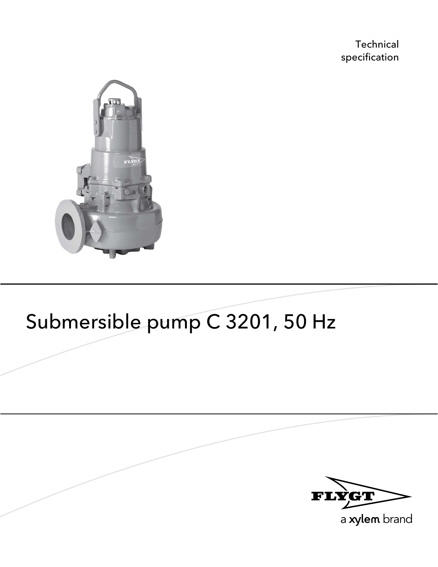**Technical** specification



# Submersible pump C 3201, 50 Hz



a xylem brand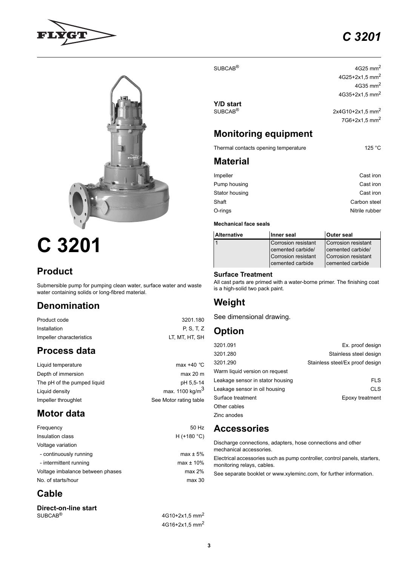# *C 3201*





# **C 3201**

# **Product**

Submersible pump for pumping clean water, surface water and waste water containing solids or long-fibred material.

# **Denomination**

Product code 3201.180 Installation **P, S, T, Z** Impeller characteristics LT, MT, HT, SH

# **Process data**

| Liquid temperature          | max $+40$ °C                |
|-----------------------------|-----------------------------|
| Depth of immersion          | max 20 m                    |
| The pH of the pumped liquid | pH 5.5-14                   |
| Liquid density              | max. 1100 kg/m <sup>3</sup> |
| Impeller throughlet         | See Motor rating table      |
|                             |                             |

# **Motor data**

| 50 Hz          |
|----------------|
| $H$ (+180 °C)  |
|                |
| $max \pm 5\%$  |
| $max \pm 10\%$ |
| max 2%         |
| max 30         |
|                |

# **Cable**

### **Direct-on-line start**  $SUBCAB<sup>®</sup>$  4G10+2x1,5 mm<sup>2</sup>

 $SUBCAB<sup>®</sup>$  4G25 mm<sup>2</sup>

**Y/D start**

4G25+2x1,5 mm<sup>2</sup> 4G35 mm2 4G35+2x1,5 mm<sup>2</sup>  $2x4G10+2x1,5$  mm<sup>2</sup> 7G6+2x1,5 mm<sup>2</sup>

# **Monitoring equipment**

Thermal contacts opening temperature 125 °C

### **Material**

| Impeller       | Cast iron      |
|----------------|----------------|
| Pump housing   | Cast iron      |
| Stator housing | Cast iron      |
| Shaft          | Carbon steel   |
| O-rings        | Nitrile rubber |
|                |                |

### **Mechanical face seals**

| <b>Alternative</b> | Inner seal                                                                          | <b>Outer seal</b>                                                                   |  |  |
|--------------------|-------------------------------------------------------------------------------------|-------------------------------------------------------------------------------------|--|--|
|                    | Corrosion resistant<br>cemented carbide/<br>Corrosion resistant<br>cemented carbide | Corrosion resistant<br>cemented carbide/<br>Corrosion resistant<br>cemented carbide |  |  |

### **Surface Treatment**

All cast parts are primed with a water-borne primer. The finishing coat is a high-solid two pack paint.

# **Weight**

See dimensional drawing.

# **Option**

| 3201.091                         | Ex. proof design                |
|----------------------------------|---------------------------------|
| 3201.280                         | Stainless steel design          |
| 3201.290                         | Stainless steel/Ex proof design |
| Warm liquid version on request   |                                 |
| Leakage sensor in stator housing | <b>FLS</b>                      |
| Leakage sensor in oil housing    | <b>CLS</b>                      |
| Surface treatment                | Epoxy treatment                 |
| Other cables                     |                                 |
| Zinc anodes                      |                                 |

# **Accessories**

Discharge connections, adapters, hose connections and other mechanical accessories.

Electrical accessories such as pump controller, control panels, starters, monitoring relays, cables.

See separate booklet or www.xyleminc.com, for further information.

4G16+2x1,5 mm<sup>2</sup>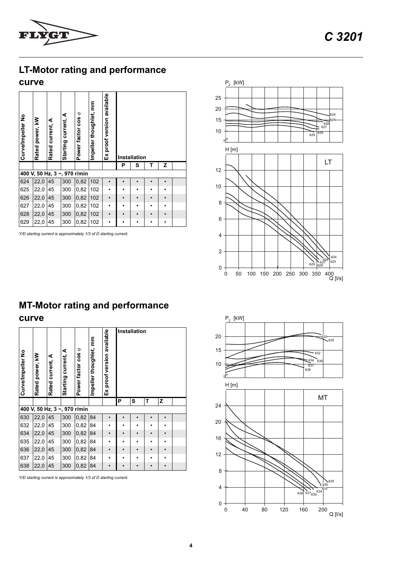

# **LT-Motor rating and performance**

### **curve**

| Curve/Impeller No | Rated power, kW              | Rated current, A | current, A<br>Starting | $\circ$<br>Power factor cos | Impeller thoughlet, mm | proof version available<br>$\overline{\mathbf{E}}$ | Installation |   |   |   |  |  |
|-------------------|------------------------------|------------------|------------------------|-----------------------------|------------------------|----------------------------------------------------|--------------|---|---|---|--|--|
|                   |                              |                  |                        |                             |                        |                                                    | P            | s | т | z |  |  |
|                   | 400 V, 50 Hz, 3 ~, 970 r/min |                  |                        |                             |                        |                                                    |              |   |   |   |  |  |
| 624               | 22,0                         | 45               | 300                    | 0,82                        | 102                    |                                                    |              |   |   |   |  |  |
| 625               | 22,0                         | 45               | 300                    | 0,82                        | 102                    |                                                    |              | ٠ |   |   |  |  |
| 626               | 22,0                         | 45               | 300                    | 0,82                        | 102                    |                                                    |              |   |   |   |  |  |
|                   |                              |                  |                        |                             |                        |                                                    |              |   |   |   |  |  |
| 627               | 22,0                         | 45               | 300                    | 0,82                        | 102                    |                                                    |              | ٠ |   |   |  |  |
| 628               | 22,0                         | 45               | 300                    | 0,82                        | 102                    |                                                    |              |   |   |   |  |  |



# **MT-Motor rating and performance curve**

| Ex proof version available<br>mpeller thoughlet, mm<br>Power factor cos $\varphi$<br>Starting current, A<br>Curve/Impeller No<br>Rated power, kW<br>Rated current, A<br>Installation<br>P<br>s<br>т<br>z<br>400 V, 50 Hz, 3 ~, 970 r/min |                 |                  |                     |                              |                        |                            |   |           |           |           |  |
|------------------------------------------------------------------------------------------------------------------------------------------------------------------------------------------------------------------------------------------|-----------------|------------------|---------------------|------------------------------|------------------------|----------------------------|---|-----------|-----------|-----------|--|
|                                                                                                                                                                                                                                          |                 |                  |                     |                              |                        |                            |   |           |           |           |  |
| 624                                                                                                                                                                                                                                      | 22,0            | 45               | 300                 | 0,82                         | 102                    |                            |   |           |           | $\bullet$ |  |
| 625                                                                                                                                                                                                                                      | 22,0            | 45               | 300                 | 0,82                         | 102                    |                            |   |           |           | ٠         |  |
| 626                                                                                                                                                                                                                                      | 22,0            | 45               | 300                 | 0,82                         | 102                    |                            |   |           |           | $\bullet$ |  |
| 627                                                                                                                                                                                                                                      | 22,0            | 45               | 300                 | 0,82                         | 102                    |                            |   |           |           |           |  |
| 628                                                                                                                                                                                                                                      | 22,0            | 45               | 300                 | 0,82                         | 102                    | $\bullet$                  |   | $\bullet$ |           | $\bullet$ |  |
| 629                                                                                                                                                                                                                                      | 22,0            | 45               | 300                 | 0,82                         | 102                    |                            |   | $\bullet$ | $\bullet$ | $\bullet$ |  |
| <b>MT-Motor rating and performance</b><br>curve<br>Installation                                                                                                                                                                          |                 |                  |                     |                              |                        |                            |   |           |           |           |  |
| Curve/Impeller No                                                                                                                                                                                                                        | Rated power, kW | Rated current, A | Starting current, A | Power factor cos o           | Impeller thoughlet, mm | Ex proof version available |   |           |           |           |  |
|                                                                                                                                                                                                                                          |                 |                  |                     |                              |                        |                            | Ρ | s         | Т         | Z         |  |
|                                                                                                                                                                                                                                          |                 |                  |                     | 400 V, 50 Hz, 3 ~, 970 r/min |                        |                            |   |           |           |           |  |
| 630                                                                                                                                                                                                                                      | 22,0            | 45               | 300                 | 0,82                         | 84                     |                            |   |           |           |           |  |
| 632                                                                                                                                                                                                                                      | 22,0            | 45               | 300                 | 0,82                         | 84                     |                            |   |           |           |           |  |
| 634                                                                                                                                                                                                                                      | 22,0            | 45               | 300                 | 0,82                         | 84                     |                            |   |           |           |           |  |
| 635                                                                                                                                                                                                                                      | 22,0            | 45               | 300                 | 0,82                         | 84                     |                            |   |           |           | ٠         |  |
| 636                                                                                                                                                                                                                                      | 22,0            | 45               | 300                 | 0,82                         | 84                     |                            |   |           |           |           |  |
| 637                                                                                                                                                                                                                                      | 22,0            | 45               | 300                 | 0,82                         | 84                     |                            |   |           |           | ٠         |  |
| 638                                                                                                                                                                                                                                      | 22,0            | 45               | 300                 | 0,82                         | 84                     |                            |   | $\bullet$ | $\bullet$ | $\bullet$ |  |

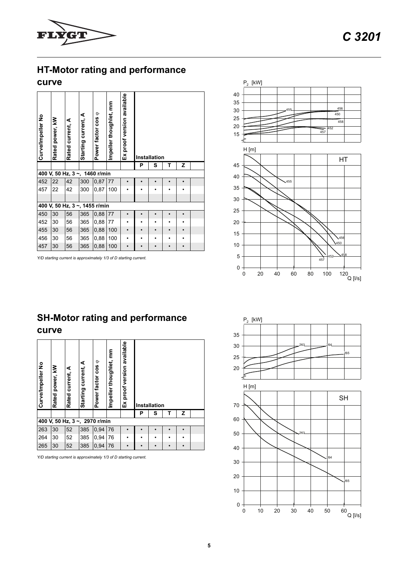

# **HT-Motor rating and performance**

### **curve**

| Z<br>т<br>Ρ<br>s<br>400 V, 50 Hz, 3 ~, 1460 r/min<br>452<br>22<br>42<br>300<br>0,87<br>77<br>457<br>22<br>42<br>300<br>0,87<br>100<br>400 V, 50 Hz, 3 ~, 1455 r/min<br>450<br>30<br>365<br>0,88<br>77<br>56 |  |  |  |  |  |  |  |  |  |
|-------------------------------------------------------------------------------------------------------------------------------------------------------------------------------------------------------------|--|--|--|--|--|--|--|--|--|
|                                                                                                                                                                                                             |  |  |  |  |  |  |  |  |  |
|                                                                                                                                                                                                             |  |  |  |  |  |  |  |  |  |
|                                                                                                                                                                                                             |  |  |  |  |  |  |  |  |  |
|                                                                                                                                                                                                             |  |  |  |  |  |  |  |  |  |
|                                                                                                                                                                                                             |  |  |  |  |  |  |  |  |  |
|                                                                                                                                                                                                             |  |  |  |  |  |  |  |  |  |
|                                                                                                                                                                                                             |  |  |  |  |  |  |  |  |  |
| 30<br>56<br>365<br>77<br>452<br>0,88                                                                                                                                                                        |  |  |  |  |  |  |  |  |  |
| 0,88<br>100<br>455<br>30<br>56<br>365                                                                                                                                                                       |  |  |  |  |  |  |  |  |  |
| 56<br>456<br>30<br>365<br>0,88<br>100                                                                                                                                                                       |  |  |  |  |  |  |  |  |  |
| 457<br>30<br>56<br>365<br>0,88<br>100<br>$\bullet$                                                                                                                                                          |  |  |  |  |  |  |  |  |  |
|                                                                                                                                                                                                             |  |  |  |  |  |  |  |  |  |
| <b>SH-Motor rating and performance</b><br>curve                                                                                                                                                             |  |  |  |  |  |  |  |  |  |
| Ex proof version available<br>er thoughlet, mm<br>factor cos o<br>g current, A<br>Impeller No<br>power, kW<br>current, A<br>Startin<br>Curve<br>lmpell<br><b>Rated</b><br>Rated<br>Power<br>Installation    |  |  |  |  |  |  |  |  |  |
| Ρ<br>s<br>Τ<br>z                                                                                                                                                                                            |  |  |  |  |  |  |  |  |  |
| 400 V, 50 Hz, 3 ~, 2970 r/min                                                                                                                                                                               |  |  |  |  |  |  |  |  |  |
| 263<br>385<br>30<br>52<br>0,94<br>76                                                                                                                                                                        |  |  |  |  |  |  |  |  |  |
| 264<br>30<br>52<br>385<br>0,94<br>76<br>265<br>30<br>52<br>385<br>0,94<br>76                                                                                                                                |  |  |  |  |  |  |  |  |  |



# **SH-Motor rating and performance curve**

| Curve/Impeller No | Rated power, kW | Rated current, A              | ⋖<br>current,<br>Starting | ٠<br><b>cos</b><br>factor<br>Power | E<br>Impeller thoughlet, | available<br>proof version<br>ă |   | Installation |   |   |  |
|-------------------|-----------------|-------------------------------|---------------------------|------------------------------------|--------------------------|---------------------------------|---|--------------|---|---|--|
|                   |                 |                               |                           |                                    |                          |                                 | Ρ | s            | т | z |  |
|                   |                 | 400 V, 50 Hz, 3 ~, 2970 r/min |                           |                                    |                          |                                 |   |              |   |   |  |
| 263               | 30              | 52                            | 385                       | 0,94                               | 76                       |                                 |   |              |   |   |  |
| 264               | 30              | 52                            | 385                       | 0,94                               | 76                       | ٠                               |   |              |   |   |  |
| 265               | 30              | 52                            | 385                       | 0,94                               | 76                       |                                 |   |              |   |   |  |

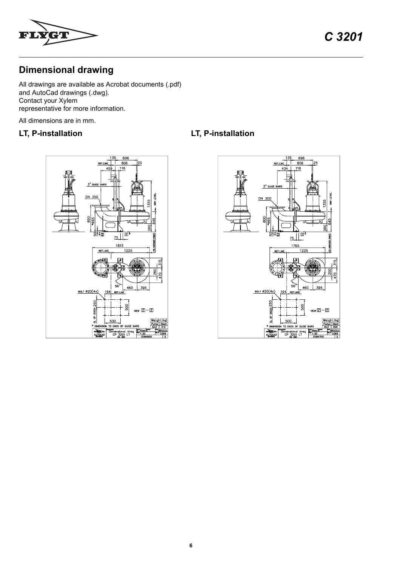

*C 3201*

# **Dimensional drawing**

All drawings are available as Acrobat documents (.pdf) and AutoCad drawings (.dwg). Contact your Xylem representative for more information.

All dimensions are in mm.

## **LT, P-installation LT, P-installation**



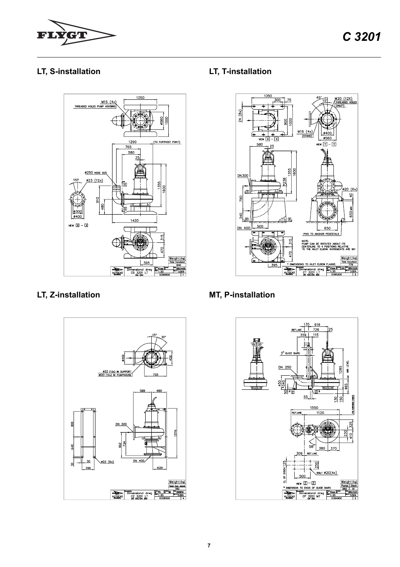





# **LT, S-installation LT, T-installation**



# **LT, Z-installation MT, P-installation**

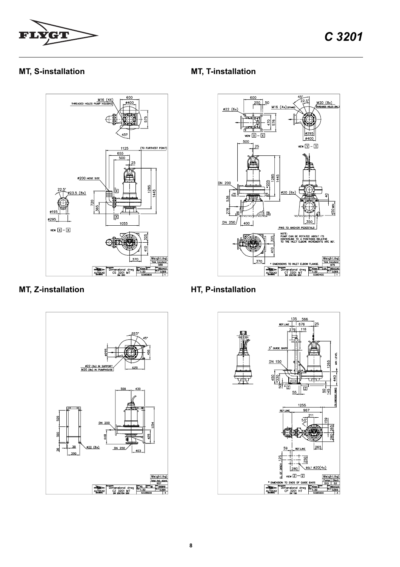





# **MT, S-installation MT, T-installation**



**MT, Z-installation HT, P-installation**

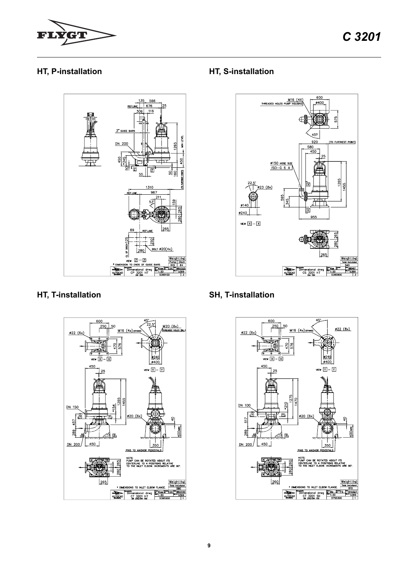

## HT, P-installation



# HT, T-installation



## HT, S-installation



# **SH, T-installation**

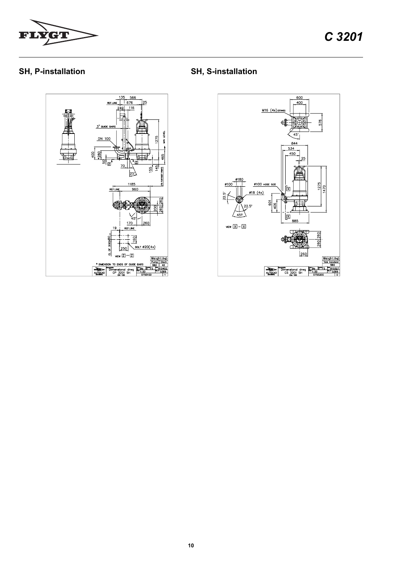

# SH, P-installation

**SH, S-installation**